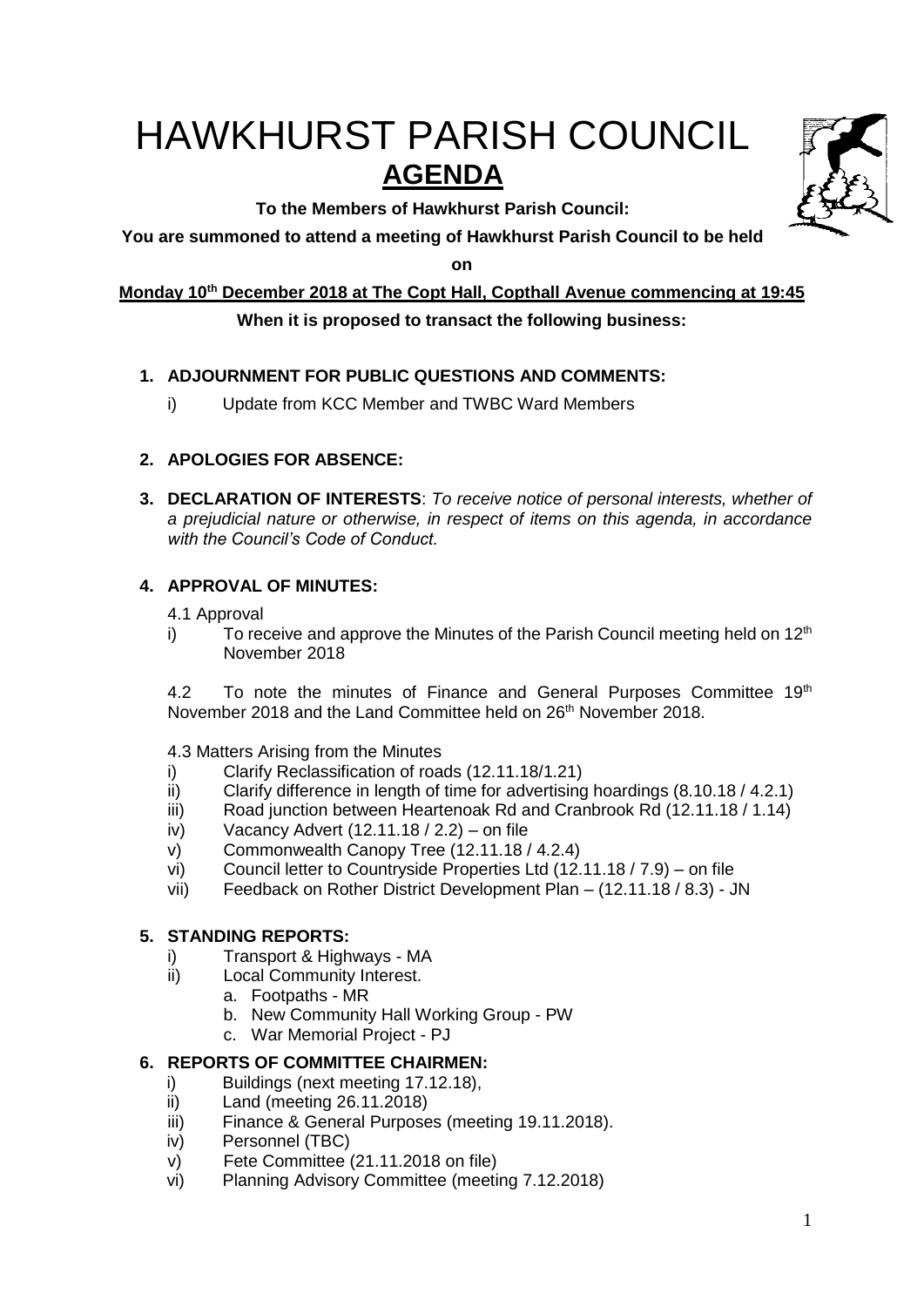# HAWKHURST PARISH COUNCIL **AGENDA**

**To the Members of Hawkhurst Parish Council:**



**on**

**Monday 10 th December 2018 at The Copt Hall, Copthall Avenue commencing at 19:45**

# **When it is proposed to transact the following business:**

# **1. ADJOURNMENT FOR PUBLIC QUESTIONS AND COMMENTS:**

i) Update from KCC Member and TWBC Ward Members

# **2. APOLOGIES FOR ABSENCE:**

**3. DECLARATION OF INTERESTS**: *To receive notice of personal interests, whether of a prejudicial nature or otherwise, in respect of items on this agenda, in accordance with the Council's Code of Conduct.*

# **4. APPROVAL OF MINUTES:**

4.1 Approval

i) To receive and approve the Minutes of the Parish Council meeting held on  $12<sup>th</sup>$ November 2018

4.2 To note the minutes of Finance and General Purposes Committee 19<sup>th</sup> November 2018 and the Land Committee held on 26<sup>th</sup> November 2018.

4.3 Matters Arising from the Minutes

- i) Clarify Reclassification of roads (12.11.18/1.21)
- ii) Clarify difference in length of time for advertising hoardings (8.10.18 / 4.2.1)
- iii) Road junction between Heartenoak Rd and Cranbrook Rd (12.11.18 / 1.14)
- iv) Vacancy Advert (12.11.18 / 2.2) on file
- v) Commonwealth Canopy Tree (12.11.18 / 4.2.4)
- vi) Council letter to Countryside Properties Ltd (12.11.18 / 7.9) on file
- vii) Feedback on Rother District Development Plan (12.11.18 / 8.3) JN

# **5. STANDING REPORTS:**

- i) Transport & Highways MA
- ii) Local Community Interest.
	- a. Footpaths MR
		- b. New Community Hall Working Group PW
	- c. War Memorial Project PJ

# **6. REPORTS OF COMMITTEE CHAIRMEN:**

- i) Buildings (next meeting 17.12.18),
- ii) Land (meeting 26.11.2018)
- iii) Finance & General Purposes (meeting 19.11.2018).
- iv) Personnel (TBC)
- v) Fete Committee (21.11.2018 on file)
- vi) Planning Advisory Committee (meeting 7.12.2018)

1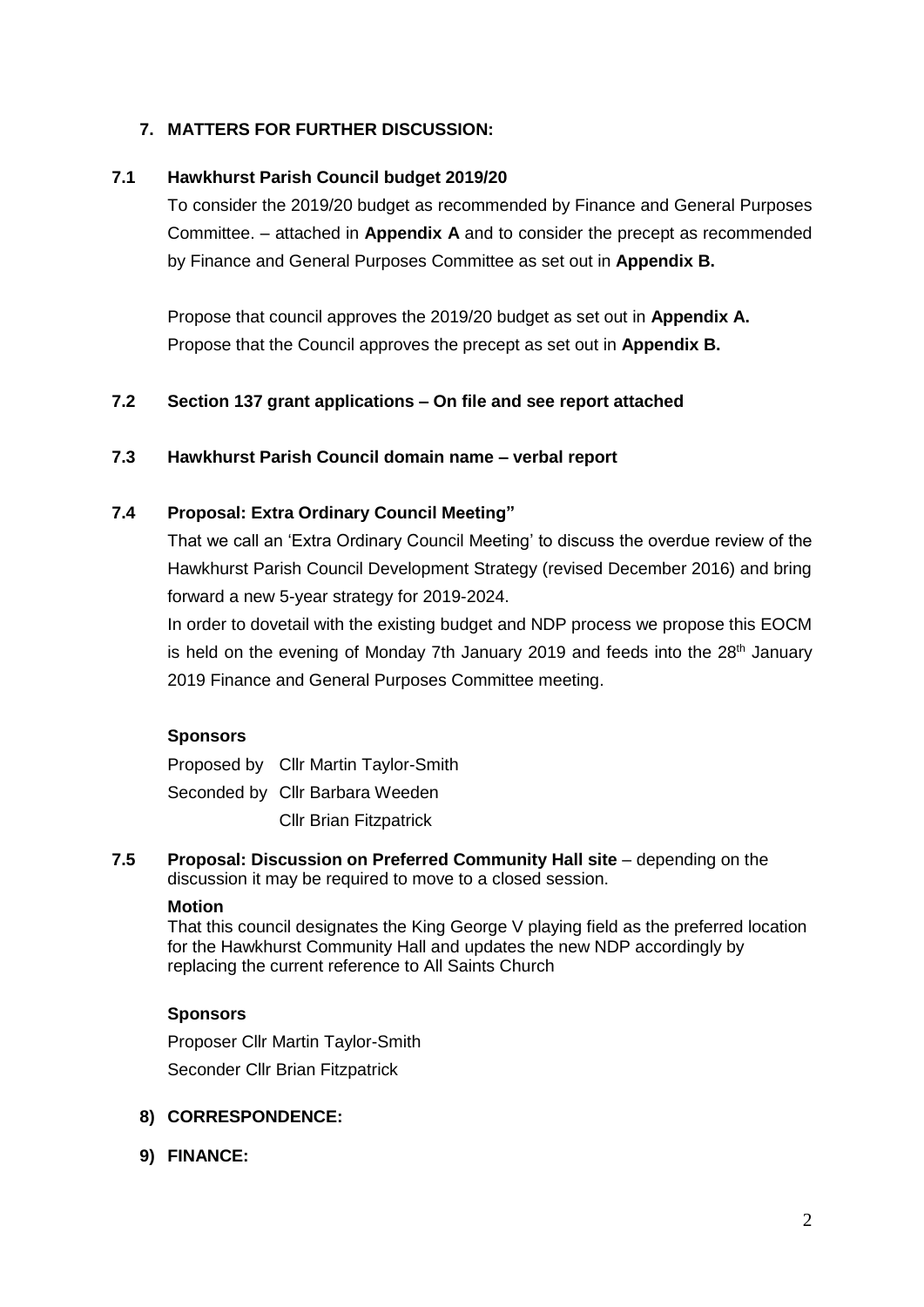# **7. MATTERS FOR FURTHER DISCUSSION:**

# **7.1 Hawkhurst Parish Council budget 2019/20**

To consider the 2019/20 budget as recommended by Finance and General Purposes Committee. – attached in **Appendix A** and to consider the precept as recommended by Finance and General Purposes Committee as set out in **Appendix B.**

Propose that council approves the 2019/20 budget as set out in **Appendix A.** Propose that the Council approves the precept as set out in **Appendix B.**

## **7.2 Section 137 grant applications – On file and see report attached**

#### **7.3 Hawkhurst Parish Council domain name – verbal report**

#### **7.4 Proposal: Extra Ordinary Council Meeting"**

That we call an 'Extra Ordinary Council Meeting' to discuss the overdue review of the Hawkhurst Parish Council Development Strategy (revised December 2016) and bring forward a new 5-year strategy for 2019-2024.

In order to dovetail with the existing budget and NDP process we propose this EOCM is held on the evening of Monday 7th January 2019 and feeds into the 28<sup>th</sup> January 2019 Finance and General Purposes Committee meeting.

#### **Sponsors**

Proposed by Cllr Martin Taylor-Smith Seconded by Cllr Barbara Weeden Cllr Brian Fitzpatrick

#### **7.5 Proposal: Discussion on Preferred Community Hall site** – depending on the discussion it may be required to move to a closed session.

#### **Motion**

That this council designates the King George V playing field as the preferred location for the Hawkhurst Community Hall and updates the new NDP accordingly by replacing the current reference to All Saints Church

#### **Sponsors**

Proposer Cllr Martin Taylor-Smith Seconder Cllr Brian Fitzpatrick

#### **8) CORRESPONDENCE:**

**9) FINANCE:**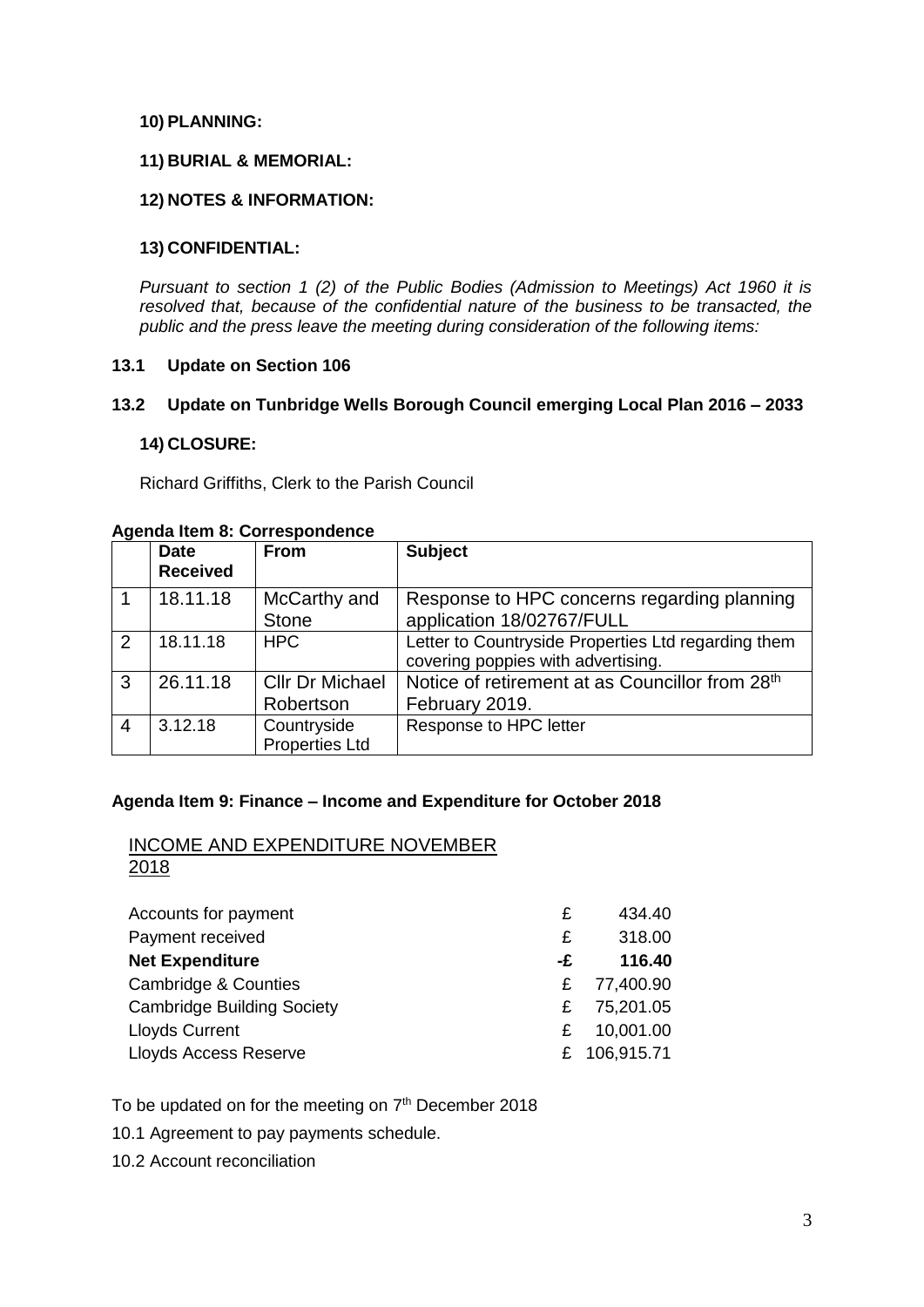#### **10) PLANNING:**

#### **11) BURIAL & MEMORIAL:**

#### **12) NOTES & INFORMATION:**

#### **13) CONFIDENTIAL:**

*Pursuant to section 1 (2) of the Public Bodies (Admission to Meetings) Act 1960 it is resolved that, because of the confidential nature of the business to be transacted, the public and the press leave the meeting during consideration of the following items:*

#### **13.1 Update on Section 106**

#### **13.2 Update on Tunbridge Wells Borough Council emerging Local Plan 2016 – 2033**

#### **14) CLOSURE:**

Richard Griffiths, Clerk to the Parish Council

|                | Agenda Reni o. Correspondence  |                                      |                                                                                           |  |
|----------------|--------------------------------|--------------------------------------|-------------------------------------------------------------------------------------------|--|
|                | <b>Date</b><br><b>Received</b> | <b>From</b>                          | <b>Subject</b>                                                                            |  |
|                | 18.11.18                       | McCarthy and<br><b>Stone</b>         | Response to HPC concerns regarding planning<br>application 18/02767/FULL                  |  |
| 2              | 18.11.18                       | <b>HPC</b>                           | Letter to Countryside Properties Ltd regarding them<br>covering poppies with advertising. |  |
| 3              | 26.11.18                       | <b>Cllr Dr Michael</b><br>Robertson  | Notice of retirement at as Councillor from 28th<br>February 2019.                         |  |
| $\overline{4}$ | 3.12.18                        | Countryside<br><b>Properties Ltd</b> | Response to HPC letter                                                                    |  |

#### **Agenda Item 8: Correspondence**

# **Agenda Item 9: Finance – Income and Expenditure for October 2018**

#### INCOME AND EXPENDITURE NOVEMBER 2018

| Accounts for payment              | £  | 434.40       |
|-----------------------------------|----|--------------|
| Payment received                  | £  | 318.00       |
| <b>Net Expenditure</b>            | -£ | 116.40       |
| <b>Cambridge &amp; Counties</b>   | £. | 77,400.90    |
| <b>Cambridge Building Society</b> | £. | 75,201.05    |
| <b>Lloyds Current</b>             | £. | 10,001.00    |
| Lloyds Access Reserve             |    | £ 106,915.71 |
|                                   |    |              |

To be updated on for the meeting on  $7<sup>th</sup>$  December 2018

10.1 Agreement to pay payments schedule.

10.2 Account reconciliation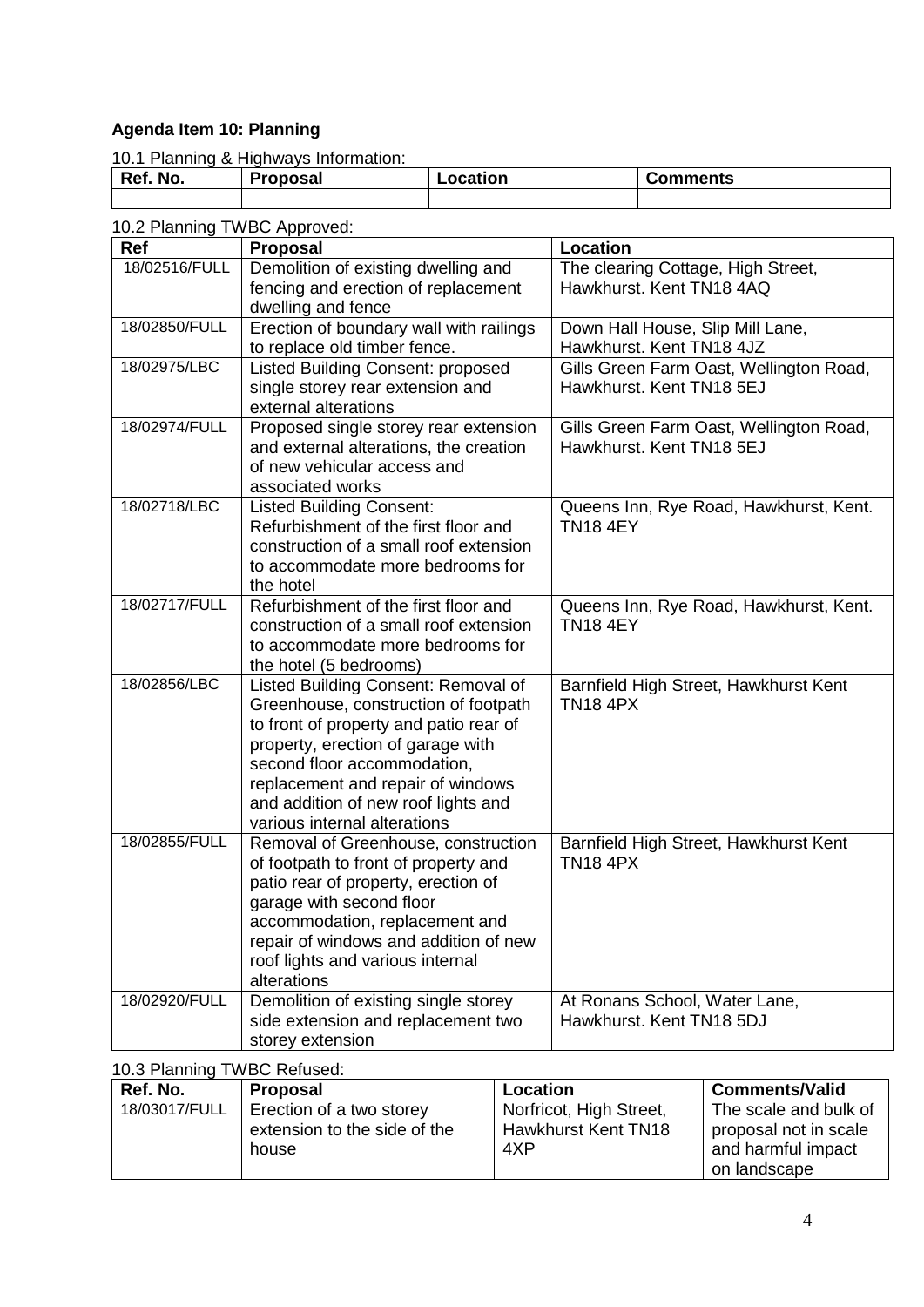# **Agenda Item 10: Planning**

10.1 Planning & Highways Information:

| No.<br><b>D</b> of | <sup>יי</sup> coposal | --<br>.ocation | Comments |
|--------------------|-----------------------|----------------|----------|
|                    |                       |                |          |

# 10.2 Planning TWBC Approved:

| Ref           | <b>Proposal</b>                                                       | <b>Location</b>                                                     |
|---------------|-----------------------------------------------------------------------|---------------------------------------------------------------------|
| 18/02516/FULL | Demolition of existing dwelling and                                   | The clearing Cottage, High Street,                                  |
|               | fencing and erection of replacement                                   | Hawkhurst, Kent TN18 4AQ                                            |
|               | dwelling and fence                                                    |                                                                     |
| 18/02850/FULL | Erection of boundary wall with railings                               | Down Hall House, Slip Mill Lane,                                    |
|               | to replace old timber fence.                                          | Hawkhurst. Kent TN18 4JZ                                            |
| 18/02975/LBC  | Listed Building Consent: proposed                                     | Gills Green Farm Oast, Wellington Road,                             |
|               | single storey rear extension and                                      | Hawkhurst. Kent TN18 5EJ                                            |
| 18/02974/FULL | external alterations                                                  |                                                                     |
|               | Proposed single storey rear extension                                 | Gills Green Farm Oast, Wellington Road,<br>Hawkhurst. Kent TN18 5EJ |
|               | and external alterations, the creation<br>of new vehicular access and |                                                                     |
|               | associated works                                                      |                                                                     |
| 18/02718/LBC  | <b>Listed Building Consent:</b>                                       | Queens Inn, Rye Road, Hawkhurst, Kent.                              |
|               | Refurbishment of the first floor and                                  | <b>TN18 4EY</b>                                                     |
|               | construction of a small roof extension                                |                                                                     |
|               | to accommodate more bedrooms for                                      |                                                                     |
|               | the hotel                                                             |                                                                     |
| 18/02717/FULL | Refurbishment of the first floor and                                  | Queens Inn, Rye Road, Hawkhurst, Kent.                              |
|               | construction of a small roof extension                                | <b>TN18 4EY</b>                                                     |
|               | to accommodate more bedrooms for                                      |                                                                     |
|               | the hotel (5 bedrooms)                                                |                                                                     |
| 18/02856/LBC  | Listed Building Consent: Removal of                                   | Barnfield High Street, Hawkhurst Kent                               |
|               | Greenhouse, construction of footpath                                  | <b>TN18 4PX</b>                                                     |
|               | to front of property and patio rear of                                |                                                                     |
|               | property, erection of garage with                                     |                                                                     |
|               | second floor accommodation,<br>replacement and repair of windows      |                                                                     |
|               | and addition of new roof lights and                                   |                                                                     |
|               | various internal alterations                                          |                                                                     |
| 18/02855/FULL | Removal of Greenhouse, construction                                   | Barnfield High Street, Hawkhurst Kent                               |
|               | of footpath to front of property and                                  | <b>TN18 4PX</b>                                                     |
|               | patio rear of property, erection of                                   |                                                                     |
|               | garage with second floor                                              |                                                                     |
|               | accommodation, replacement and                                        |                                                                     |
|               | repair of windows and addition of new                                 |                                                                     |
|               | roof lights and various internal                                      |                                                                     |
|               | alterations                                                           |                                                                     |
| 18/02920/FULL | Demolition of existing single storey                                  | At Ronans School, Water Lane,                                       |
|               | side extension and replacement two                                    | Hawkhurst. Kent TN18 5DJ                                            |
|               | storey extension                                                      |                                                                     |

# 10.3 Planning TWBC Refused:

| Ref. No.      | <b>Proposal</b>              | Location                | <b>Comments/Valid</b> |
|---------------|------------------------------|-------------------------|-----------------------|
| 18/03017/FULL | Erection of a two storey     | Norfricot, High Street, | The scale and bulk of |
|               | extension to the side of the | Hawkhurst Kent TN18     | proposal not in scale |
|               | house                        | 4XP                     | and harmful impact    |
|               |                              |                         | on landscape          |